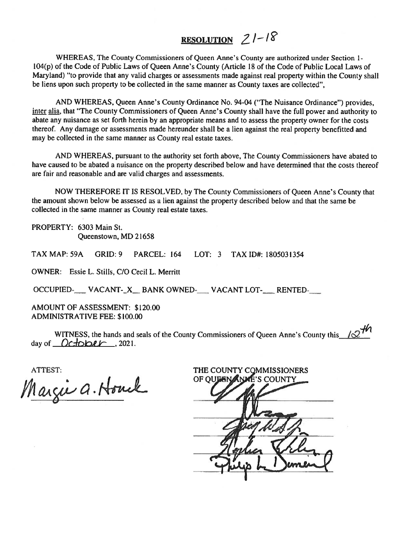# RESOLUTION  $21-18$

WHEREAS, The County Commissioners of Queen Anne's County are authorized under Section 1- 104(p) of the Code of Public Laws of Queen Anne's County (Article <sup>18</sup> of the Code of Public Local Laws of Maryland) "to provide that any valid charges or assessments made against real property within the County shall be liens upon such property to be collected in the same manner as County taxes are collected",

AND WHEREAS, Queen Anne's County Ordinance No. 94-04 ("The Nuisance Ordinance") provides, inter alia, that "The County Commissioners of Queen Anne's County shall have the full power and authority to abate any nuisance as set forth herein by an appropriate means and to assess the property owner for the costs thereof. Any damage or assessments made hereunder shall be <sup>a</sup> lien against the real property benefitted and may be collected in the same manner as County real estate taxes.

AND WHEREAS, pursuan<sup>t</sup> to the authority set forth above, The County Commissioners have abated to have caused to be abated <sup>a</sup> nuisance on the property described below and have determined that the costs thereof are fair and reasonable and are valid charges and assessments.

NOW THEREFORE IT IS RESOLVED, by The County Commissioners of Queen Anne's County that the amount shown below be assessed as <sup>a</sup> lien against the property described below and that the same be collected in the same manner as County real estate taxes.

PROPERTY: 6303 Main St. Queenstown, MD 21658

TAX MAP: 59A GRID: 9 PARCEL: 164 LOT: 3 TAX ID#: 1805031354

OWNER: Essie L. Stills, C/O Cecil L. Merritt

OCCUPIED-NACANT-X BANK OWNED-NACANT LOT-RENTED-

AMOUNT OF ASSESSMENT: \$120.00 ADMINISTRATIVE FEE: \$100.00

WITNESS, the hands and seals of the County Commissioners of Queen Anne's County this  $\sqrt{2^{n}}$ day of  $October$ , 2021.

ATTEST:

Margie a. Houck

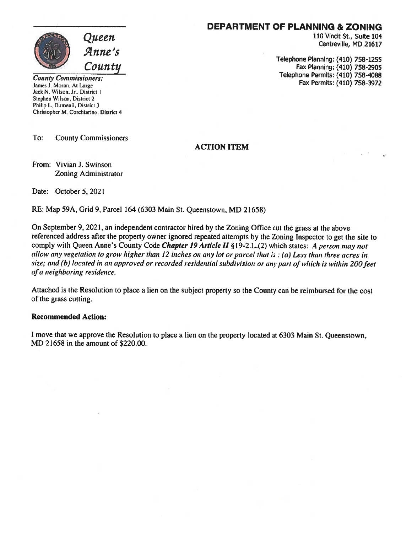

### DEPARTMENT OF PLANNING & ZONING

110 Vincit St., Suite 104 Centreville, MD 21617

Telephone Planning: (410) 758-1255 Fax Planning: (410) 758-2905 Telephone Permits: (410) 758-4088 Fax Permits: (410) 758-3972

County Commissioners: James J. Moran. At Large Jack N. Wilson. Jr.. District I Stephen Wilson. District 2 Philip L. Dumenil, District 3. Christopher M. Corchiarino, District 4

To: County Commissioners

#### ACTION ITEM

From: Vivian J. Swinson Zoning Administrator

Date: October 5, 2021

RE: Map 59A, Grid 9, Parcel 164 (6303 Main St. Queenstown, MD 21658)

On September 9, 2021, an independent contractor hired by the Zoning Office cut the grass at the above referenced address after the property owner ignored repeated attempts by the Zoning Inspector to ge<sup>t</sup> the site to comply with Queen Anne's County Code *Chapter 19 Article II* § 19-2.L.(2) which states: A person may not allow any vegetation to grow higher than <sup>12</sup> inches on any lot or parce<sup>l</sup> that is: (a) Less than three acres in size; and (b) located in an approved or recorded residential subdivision or any part of which is within 200 feet of <sup>a</sup> neighboring residence.

Attached is the Resolution to <sup>p</sup>lace <sup>a</sup> lien on the subject property so the County can be reimbursed for the cost of the grass cutting.

#### Recommended Action:

<sup>I</sup> move that we approve the Resolution to place <sup>a</sup> lien on the property located at 6303 Main St. Queenstown, MD 21658 in the amount of \$220.00.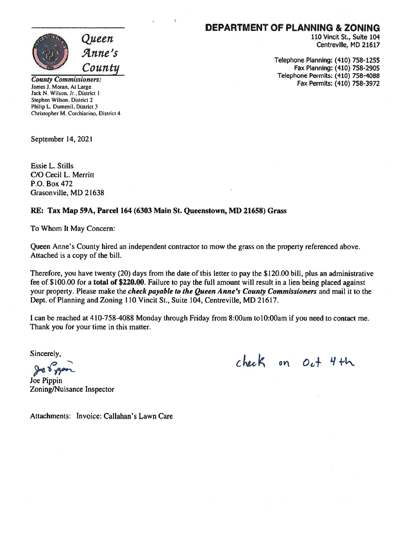

#### DEPARTMENT OF PLANNING & ZONING

110 Vincit St., Suite 104 Centreville, MD 21617

Telephone Planning: (410) 758-1255 Fax Planning: (410) 758-2905 Telephone Permits: (410) 758-4088 Fax Permits: (410) 758-3972

County Commissioners: James J. Moran, At Large Jack N. Wilson, Jr.. District I Stephen Wilson, District 2 Philip L. Dumenil, District 3 Christopher M. Corchiarino, District 4

September 14, 2021

Essie L. Stills C/O Cecil L. Merritt P.O. Box 472 Grasonville, MD 21638

#### RE: Tax Map 59A, Parcel 164 (6303 Main St. Queenstown, MD 21658) Grass

To Whom It May Concern:

Queen Anne's County hired an independent contractor to mow the grass on the property referenced above. Attached is <sup>a</sup> copy of the bill.

Therefore, you have twenty (20) days from the date of this letter to pay the \$120.00 bill, plus an administrative fee of \$100.00 for a total of \$220.00. Failure to pay the full amount will result in a lien being placed against your property. Please make the *check payable to the Queen Anne's County Commissioners* and mail it to the Dept. of Planning and Zoning 110 Vincit St., Suite 104, Centreville, MD 21617.

<sup>I</sup> can be reached at 410-758-4088 Monday through Friday from 8:00am to 10:00am if you need to contact me. Thank you for your time in this matter.

Sincerely,

Joe Pippin Zoning/Nuisance Inspector

 $chek$  on  $Oe^+$  4th

Attachments: Invoice: Callahan's Lawn Care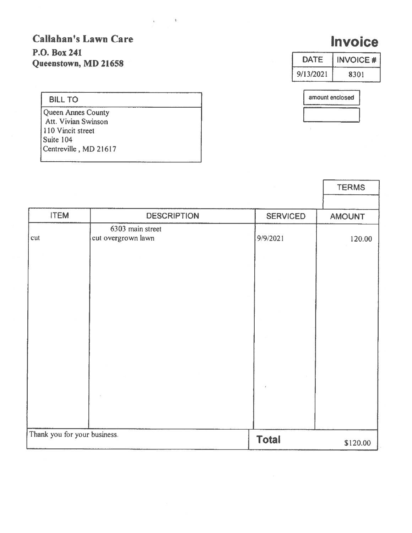# Callahan's Lawn Care P.O. Box 241 Queenstown, MD 21658

 $\mathbf{v} = \mathbf{v}$ 

## BILL TO

Queen Annes County Att. Vivian Swinson 110 Vincit street Suite 104 Centreville, MD 21617

|                              |                                        |                 | <b>TERMS</b>  |
|------------------------------|----------------------------------------|-----------------|---------------|
|                              |                                        |                 |               |
| <b>ITEM</b>                  | <b>DESCRIPTION</b>                     | <b>SERVICED</b> | <b>AMOUNT</b> |
| cut                          | 6303 main street<br>cut overgrown lawn | 9/9/2021        | 120.00        |
|                              |                                        |                 |               |
|                              |                                        |                 |               |
|                              |                                        |                 |               |
|                              |                                        |                 |               |
|                              |                                        |                 |               |
| Thank you for your business. |                                        | <b>Total</b>    | \$120.00      |

# **Invoice**

| <b>DATE</b> | <b>INVOICE#</b> |
|-------------|-----------------|
| 9/13/2021   | 8301            |

| amount enclosed |  |  |
|-----------------|--|--|
|                 |  |  |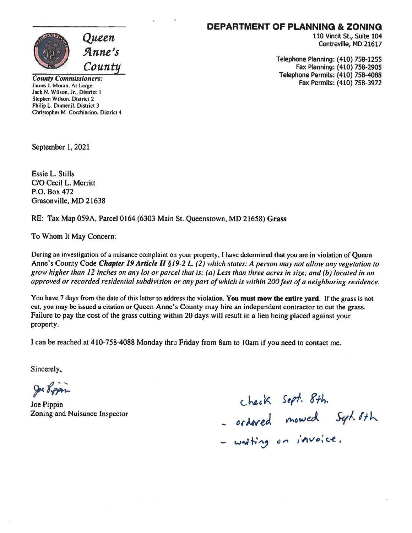

### DEPARTMENT OF PLANNING & ZONING

110 Vincit St., Suite 104 Centreville, MD 21617

Telephone Planning: (410) 758-1255 Fax Planning: (410) 758-2905 Telephone Permits: (410) 758-4088 Fax Permits: (410) 758-3972

County Commissioners: James J. Moran. At Large Jack N. Wilson, Jr., District I Sephen Wilson, District 2 Philip L. Dumenil. District 3 Christopher M Corchiarino. District 4

September 1, 2021

Essie L. Stills C/O Cecil L. Merritt P.O. Box 472 Grasonville, MD 21638

RE: Tax Map 059A, Parcel 0164 (6303 Main St. Queenstown, MD 21658) Grass

To Whom It May Concern:

During an investigation of <sup>a</sup> nuisance complaint on your property, <sup>I</sup> have determined that you are in violation of Queen Anne's County Code Chapter 19 Article II §19-2 L. (2) which states: A person may not allow any vegetation to grow higher than 12 inches on any lot or parcel that is: (a) Less than three acres in size; and (b) located in an approved or recorded residential subdivision or any part of which is within 200 feet of a neighboring residence.

You have 7 days from the date of this letter to address the violation. You must mow the entire yard. If the grass is not cut, you may be issued a citation or Queen Anne's County may hire an independent contractor to cut the grass. Failure to pay the cost of the grass cutting within <sup>20</sup> days will result in <sup>a</sup> lien being <sup>p</sup>laced against your property.

Ican be reached at 410-758-4088 Monday thru Friday from 8am to lOam if you need to contact me.

Sincerely,

Je Bygan

Joe Pippin Zoning and Nuisance Inspector

c)'  $check$  Sept. ordered mowed Jept.